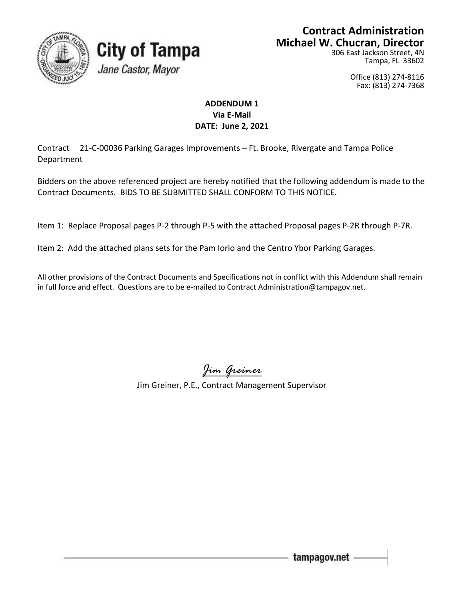

#### **Contract Administration Michael W. Chucran, Director**

306 East Jackson Street, 4N Tampa, FL 33602

> Office (813) 274-8116 Fax: (813) 274-7368

#### **ADDENDUM 1 Via E-Mail DATE: June 2, 2021**

Contract 21-C-00036 Parking Garages Improvements – Ft. Brooke, Rivergate and Tampa Police Department

**City of Tampa** 

Jane Castor, Mayor

Bidders on the above referenced project are hereby notified that the following addendum is made to the Contract Documents. BIDS TO BE SUBMITTED SHALL CONFORM TO THIS NOTICE.

Item 1: Replace Proposal pages P-2 through P-5 with the attached Proposal pages P-2R through P-7R.

Item 2: Add the attached plans sets for the Pam Iorio and the Centro Ybor Parking Garages.

All other provisions of the Contract Documents and Specifications not in conflict with this Addendum shall remain in full force and effect. Questions are to be e-mailed to Contract Administration@tampagov.net.

*Jim Greiner*

Jim Greiner, P.E., Contract Management Supervisor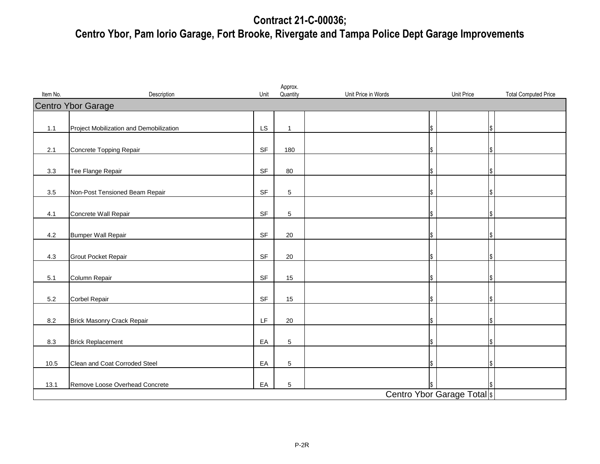## **Contract 21-C-00036; Centro Ybor, Pam Iorio Garage, Fort Brooke, Rivergate and Tampa Police Dept Garage Improvements**

| Item No. | Description                             | Unit      | Approx.<br>Quantity | Unit Price in Words | Unit Price | <b>Total Computed Price</b> |  |  |
|----------|-----------------------------------------|-----------|---------------------|---------------------|------------|-----------------------------|--|--|
|          | Centro Ybor Garage                      |           |                     |                     |            |                             |  |  |
|          |                                         |           |                     |                     |            |                             |  |  |
| 1.1      | Project Mobilization and Demobilization | LS        | $\mathbf{1}$        | \$                  |            |                             |  |  |
| 2.1      | Concrete Topping Repair                 | SF        | 180                 | \$                  |            |                             |  |  |
| 3.3      | Tee Flange Repair                       | <b>SF</b> | 80                  | \$                  |            |                             |  |  |
| $3.5\,$  | Non-Post Tensioned Beam Repair          | SF        | $5\,$               | \$                  |            |                             |  |  |
| 4.1      | Concrete Wall Repair                    | <b>SF</b> | 5                   | \$                  |            |                             |  |  |
| 4.2      | <b>Bumper Wall Repair</b>               | SF        | 20                  | \$                  |            |                             |  |  |
| 4.3      | <b>Grout Pocket Repair</b>              | SF        | 20                  | \$                  |            |                             |  |  |
| 5.1      | Column Repair                           | <b>SF</b> | 15                  | \$                  |            |                             |  |  |
| 5.2      | Corbel Repair                           | SF        | $15\,$              | \$                  |            |                             |  |  |
| 8.2      | <b>Brick Masonry Crack Repair</b>       | LF        | 20                  | \$                  |            |                             |  |  |
| 8.3      | <b>Brick Replacement</b>                | EA        | 5                   | \$                  |            |                             |  |  |
| 10.5     | Clean and Coat Corroded Steel           | EA        | 5                   | \$                  |            |                             |  |  |
| 13.1     | Remove Loose Overhead Concrete          | EA        | $\sqrt{5}$          |                     |            |                             |  |  |
|          | Centro Ybor Garage Total s              |           |                     |                     |            |                             |  |  |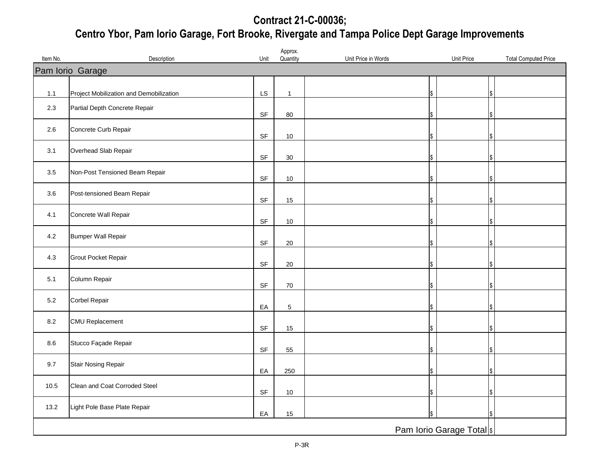## **Contract 21-C-00036; Centro Ybor, Pam Iorio Garage, Fort Brooke, Rivergate and Tampa Police Dept Garage Improvements**

|          |                                         |                                   | Approx.        |                     |    |                                           |  |
|----------|-----------------------------------------|-----------------------------------|----------------|---------------------|----|-------------------------------------------|--|
| Item No. | Description                             | Unit                              | Quantity       | Unit Price in Words |    | Unit Price<br><b>Total Computed Price</b> |  |
|          | Pam Iorio Garage                        |                                   |                |                     |    |                                           |  |
|          |                                         |                                   |                |                     |    |                                           |  |
| 1.1      | Project Mobilization and Demobilization | LS                                | $\mathbf{1}$   |                     | S  |                                           |  |
| 2.3      | Partial Depth Concrete Repair           |                                   |                |                     |    |                                           |  |
|          |                                         | SF                                | 80             |                     | \$ |                                           |  |
| 2.6      | Concrete Curb Repair                    |                                   |                |                     |    |                                           |  |
|          |                                         | $\ensuremath{\mathsf{SF}}\xspace$ | 10             |                     | \$ |                                           |  |
| 3.1      | Overhead Slab Repair                    |                                   |                |                     |    |                                           |  |
|          |                                         | SF                                | $30\,$         |                     | \$ |                                           |  |
| 3.5      | Non-Post Tensioned Beam Repair          |                                   |                |                     |    |                                           |  |
|          |                                         | SF                                | 10             |                     | ዩ  |                                           |  |
| 3.6      | Post-tensioned Beam Repair              |                                   |                |                     |    |                                           |  |
|          |                                         | SF                                | 15             |                     | \$ |                                           |  |
| 4.1      | Concrete Wall Repair                    |                                   |                |                     |    |                                           |  |
|          |                                         | SF                                | 10             |                     |    |                                           |  |
| 4.2      | <b>Bumper Wall Repair</b>               |                                   |                |                     |    |                                           |  |
|          |                                         | SF                                | 20             |                     | S  |                                           |  |
| 4.3      | Grout Pocket Repair                     |                                   |                |                     |    |                                           |  |
|          |                                         | SF                                | 20             |                     |    |                                           |  |
| 5.1      | Column Repair                           |                                   |                |                     |    |                                           |  |
|          |                                         | SF                                | 70             |                     | \$ |                                           |  |
| $5.2\,$  | Corbel Repair                           |                                   |                |                     |    |                                           |  |
|          |                                         | EA                                | $\overline{5}$ |                     | \$ |                                           |  |
| 8.2      | <b>CMU Replacement</b>                  |                                   |                |                     |    |                                           |  |
|          |                                         | SF                                | 15             |                     |    |                                           |  |
| 8.6      | Stucco Façade Repair                    |                                   |                |                     |    |                                           |  |
|          |                                         | SF                                | 55             |                     | S. |                                           |  |
| 9.7      | Stair Nosing Repair                     |                                   |                |                     |    |                                           |  |
|          |                                         | EA                                | 250            |                     | \$ |                                           |  |
| 10.5     | Clean and Coat Corroded Steel           |                                   |                |                     |    |                                           |  |
|          |                                         | $\ensuremath{\mathsf{SF}}\xspace$ | 10             |                     |    |                                           |  |
| 13.2     | Light Pole Base Plate Repair            |                                   |                |                     |    |                                           |  |
|          |                                         | EA                                | 15             |                     |    |                                           |  |
|          |                                         |                                   |                |                     |    | Pam Iorio Garage Total  \$                |  |
|          |                                         |                                   |                |                     |    |                                           |  |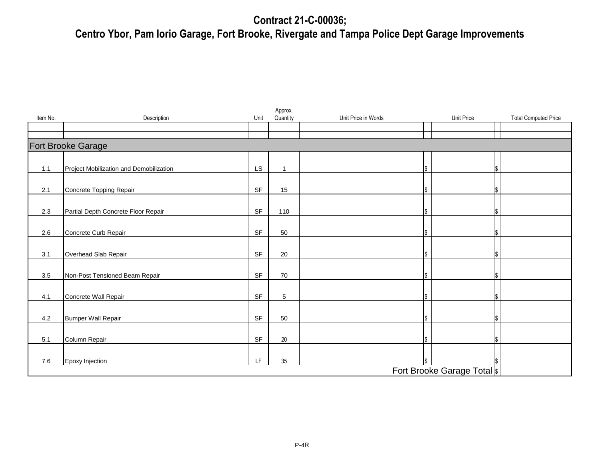## **Contract 21-C-00036;**

# **Centro Ybor, Pam Iorio Garage, Fort Brooke, Rivergate and Tampa Police Dept Garage Improvements**

| Item No. | Description                             | Unit                                                                                        | Approx.<br>Quantity | Unit Price in Words |  | Unit Price<br><b>Total Computed Price</b> |  |
|----------|-----------------------------------------|---------------------------------------------------------------------------------------------|---------------------|---------------------|--|-------------------------------------------|--|
|          |                                         |                                                                                             |                     |                     |  |                                           |  |
|          | <b>Fort Brooke Garage</b>               |                                                                                             |                     |                     |  |                                           |  |
| 1.1      | Project Mobilization and Demobilization | LS.                                                                                         | 1                   |                     |  |                                           |  |
| 2.1      | Concrete Topping Repair                 | SF                                                                                          | 15                  |                     |  |                                           |  |
| 2.3      | Partial Depth Concrete Floor Repair     | SF                                                                                          | 110                 |                     |  |                                           |  |
| 2.6      | Concrete Curb Repair                    | SF                                                                                          | 50                  |                     |  |                                           |  |
| 3.1      | Overhead Slab Repair                    | SF                                                                                          | 20                  |                     |  |                                           |  |
| 3.5      | Non-Post Tensioned Beam Repair          | SF                                                                                          | 70                  |                     |  |                                           |  |
| 4.1      | Concrete Wall Repair                    | SF                                                                                          | 5                   |                     |  |                                           |  |
| 4.2      | <b>Bumper Wall Repair</b>               | SF                                                                                          | 50                  |                     |  |                                           |  |
| 5.1      | Column Repair                           | SF                                                                                          | 20                  |                     |  |                                           |  |
| 7.6      | Epoxy Injection                         | $\mathsf{LF}% _{0}\left( \mathcal{N}\right) \equiv\mathsf{LF}_{0}\left( \mathcal{N}\right)$ | 35                  |                     |  |                                           |  |
|          | Fort Brooke Garage Total  \$            |                                                                                             |                     |                     |  |                                           |  |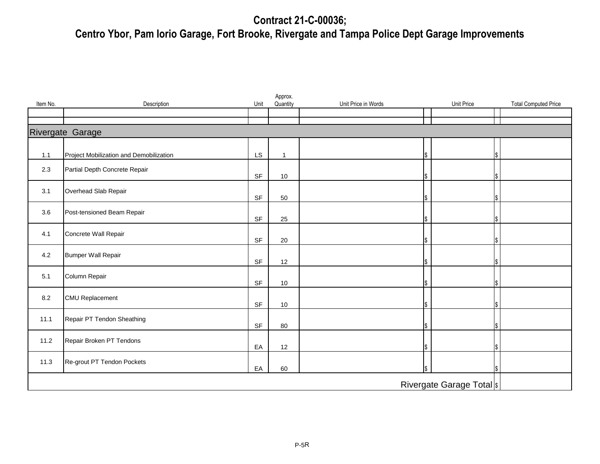## **Contract 21-C-00036;**

# **Centro Ybor, Pam Iorio Garage, Fort Brooke, Rivergate and Tampa Police Dept Garage Improvements**

| Item No.                   | Description                             | Unit                              | Approx.<br>Quantity | Unit Price in Words |  | Unit Price<br><b>Total Computed Price</b> |  |  |
|----------------------------|-----------------------------------------|-----------------------------------|---------------------|---------------------|--|-------------------------------------------|--|--|
|                            |                                         |                                   |                     |                     |  |                                           |  |  |
|                            | Rivergate Garage                        |                                   |                     |                     |  |                                           |  |  |
| 1.1                        | Project Mobilization and Demobilization | LS                                | $\overline{1}$      |                     |  |                                           |  |  |
| 2.3                        | Partial Depth Concrete Repair           | $\ensuremath{\mathsf{SF}}\xspace$ | 10                  |                     |  |                                           |  |  |
| 3.1                        | Overhead Slab Repair                    | SF                                | 50                  |                     |  |                                           |  |  |
| 3.6                        | Post-tensioned Beam Repair              | SF                                | 25                  |                     |  |                                           |  |  |
| 4.1                        | Concrete Wall Repair                    | SF                                | 20                  |                     |  |                                           |  |  |
| 4.2                        | <b>Bumper Wall Repair</b>               | $\ensuremath{\mathsf{SF}}\xspace$ | 12                  |                     |  |                                           |  |  |
| 5.1                        | Column Repair                           | SF                                | 10                  |                     |  |                                           |  |  |
| 8.2                        | <b>CMU Replacement</b>                  | SF                                | 10                  |                     |  |                                           |  |  |
| 11.1                       | Repair PT Tendon Sheathing              | SF                                | 80                  |                     |  |                                           |  |  |
| 11.2                       | Repair Broken PT Tendons                | EA                                | 12                  |                     |  |                                           |  |  |
| 11.3                       | Re-grout PT Tendon Pockets              | EA                                | 60                  |                     |  |                                           |  |  |
| Rivergate Garage Total  \$ |                                         |                                   |                     |                     |  |                                           |  |  |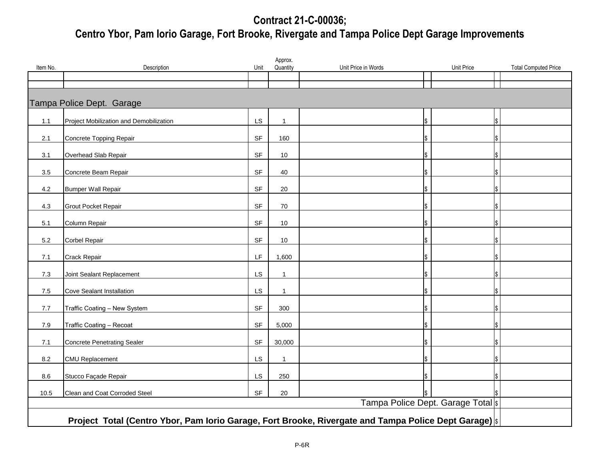## **Contract 21-C-00036; Centro Ybor, Pam Iorio Garage, Fort Brooke, Rivergate and Tampa Police Dept Garage Improvements**

| Item No.                                                                                             | Description                             | Unit      | Approx.<br>Quantity | Unit Price in Words | Unit Price                        | <b>Total Computed Price</b> |  |
|------------------------------------------------------------------------------------------------------|-----------------------------------------|-----------|---------------------|---------------------|-----------------------------------|-----------------------------|--|
|                                                                                                      |                                         |           |                     |                     |                                   |                             |  |
| Tampa Police Dept. Garage                                                                            |                                         |           |                     |                     |                                   |                             |  |
| 1.1                                                                                                  | Project Mobilization and Demobilization | LS        | $\mathbf 1$         |                     |                                   |                             |  |
| 2.1                                                                                                  | Concrete Topping Repair                 | <b>SF</b> | 160                 |                     |                                   |                             |  |
| 3.1                                                                                                  | Overhead Slab Repair                    | <b>SF</b> | 10                  |                     |                                   |                             |  |
| 3.5                                                                                                  | Concrete Beam Repair                    | <b>SF</b> | 40                  |                     |                                   |                             |  |
| 4.2                                                                                                  | <b>Bumper Wall Repair</b>               | <b>SF</b> | 20                  |                     |                                   |                             |  |
| $4.3$                                                                                                | Grout Pocket Repair                     | <b>SF</b> | 70                  |                     |                                   |                             |  |
| 5.1                                                                                                  | Column Repair                           | <b>SF</b> | 10 <sup>1</sup>     |                     |                                   |                             |  |
| $5.2\,$                                                                                              | <b>Corbel Repair</b>                    | <b>SF</b> | 10                  |                     |                                   |                             |  |
| 7.1                                                                                                  | Crack Repair                            | LF        | 1,600               |                     |                                   |                             |  |
| 7.3                                                                                                  | Joint Sealant Replacement               | LS        | $\mathbf 1$         |                     |                                   |                             |  |
| $7.5\,$                                                                                              | <b>Cove Sealant Installation</b>        | LS        | $\mathbf{1}$        |                     |                                   |                             |  |
| $7.7\,$                                                                                              | Traffic Coating - New System            | <b>SF</b> | 300                 |                     |                                   |                             |  |
| 7.9                                                                                                  | Traffic Coating - Recoat                | <b>SF</b> | 5,000               |                     |                                   |                             |  |
| 7.1                                                                                                  | <b>Concrete Penetrating Sealer</b>      | <b>SF</b> | 30,000              |                     |                                   |                             |  |
| 8.2                                                                                                  | <b>CMU Replacement</b>                  | LS        | -1                  |                     |                                   |                             |  |
| 8.6                                                                                                  | Stucco Façade Repair                    | LS        | 250                 |                     |                                   |                             |  |
| 10.5                                                                                                 | Clean and Coat Corroded Steel           | <b>SF</b> | 20                  |                     |                                   |                             |  |
|                                                                                                      |                                         |           |                     |                     | Tampa Police Dept. Garage Total s |                             |  |
| Project Total (Centro Ybor, Pam Iorio Garage, Fort Brooke, Rivergate and Tampa Police Dept Garage) s |                                         |           |                     |                     |                                   |                             |  |